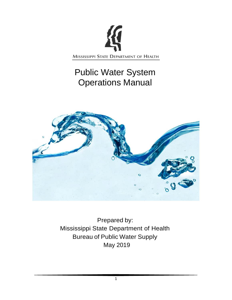

# Public Water System Operations Manual



Prepared by: Mississippi State Department of Health Bureau of Public Water Supply May 2019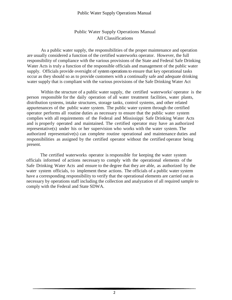#### Public Water Supply Operations Manual

## Public Water Supply Operations Manual All Classifications

As a public water supply, the responsibilities of the proper maintenance and operation are usually considered a function of the certified waterworks operator. However, the full responsibility of compliance with the various provisions of the State and Federal Safe Drinking Water Acts is truly a function of the responsible officials and management of the public water supply. Officials provide oversight of system operations to ensure that key operational tasks occur as they should so as to provide customers with a continually safe and adequate drinking water supply that is compliant with the various provisions of the Safe Drinking Water Act

Within the structure of a public water supply, the certified waterworks' operator is the person responsible for the daily operation of all water treatment facilities, water plants, distribution systems, intake structures, storage tanks, control systems, and other related appurtenances of the public water system. The public water system through the certified operator performs all routine duties as necessary to ensure that the public water system complies with all requirements of the Federal and Mississippi Safe Drinking Water Acts and is properly operated and maintained. The certified operator may have an authorized representative(s) under his or her supervision who works with the water system. The authorized representative(s) can complete routine operational and maintenance duties and responsibilities as assigned by the certified operator without the certified operator being present.

The certified waterworks operator is responsible for keeping the water system officials informed of actions necessary to comply with the operational elements of the Safe Drinking Water Acts and ensure to the degree that they are able, as authorized by the water system officials, to implement these actions. The officials of a public water system have a corresponding responsibility to verify that the operational elements are carried out as necessary by operations staff including the collection and analyzation of all required sample to comply with the Federal and State SDWA.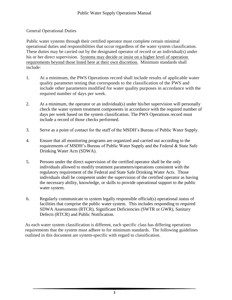#### General Operational Duties

Public water systems through their certified operator must complete certain minimal operational duties and responsibilities that occur regardless of the water system classification. These duties may be carried out by the designated operator of record or an individual(s) under his or her direct supervision. Systems may decide or insist on a higher level of operation requirements beyond those listed here at their own discretion. Minimum standards shall include:

- 1. At a minimum, the PWS Operations record shall include results of applicable water quality parameter testing that corresponds to the classification of the PWS and include other parameters modified for water quality purposes in accordance with the required number of days per week.
- 2. At a minimum, the operator or an individual(s) under his/her supervision will personally check the water system treatment components in accordance with the required number of days per week based on the system classification. The PWS Operations record must include a record of those checks performed.
- 3. Serve as a point of contact for the staff of the MSDH's Bureau of Public Water Supply.
- 4. Ensure that all monitoring programs are organized and carried out according to the requirements of MSDH's Bureau of Public Water Supply and the Federal & State Safe Drinking Water Acts (SDWA).
- 5. Persons under the direct supervision of the certified operator shall be the only individuals allowed to modify treatment parameters/operations consistent with the regulatory requirement of the Federal and State Safe Drinking Water Acts. Those individuals shall be competent under the supervision of the certified operator as having the necessary ability, knowledge, or skills to provide operational support to the public water system.
- 6. Regularly communicate to system legally responsible official(s) operational status of facilities that comprise the public water system. This includes responding to required SDWA Assessments (RTCR), Significant Deficiencies (SWTR or GWR), Sanitary Defects (RTCR) and Public Notification.

As each water system classification is different, each specific class has differing operations requirements that the system must adhere to for minimum standards. The following guidelines outlined in this document are system-specific with regard to classification.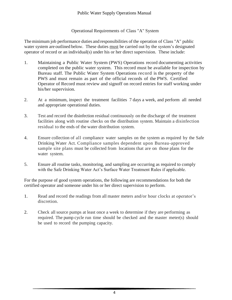#### Operational Requirements of Class "A" System

The minimum job performance duties and responsibilities of the operation of Class "A" public water system are outlined below. These duties must be carried out by the system's designated operator of record or an individual(s) under his or her direct supervision. These include:

- 1. Maintaining a Public Water System (PWS) Operations record documenting activities completed on the public water system. This record must be available for inspection by Bureau staff. The Public Water System Operations record is the property of the PWS and must remain as part of the official records of the PWS. Certified Operator of Record must review and signoff on record entries for staff working under his/her supervision.
- 2. At a minimum, inspect the treatment facilities 7 days a week, and perform all needed and appropriate operational duties.
- 3. Test and record the disinfection residual continuously on the discharge of the treatment facilities along with routine checks on the distribution system. Maintain a disinfection residual to the ends of the water distribution system.
- 4. Ensure collection of all compliance water samples on the system as required by the Safe Drinking Water Act. Compliance samples dependent upon Bureau-approved sample site plans must be collected from locations that are on those plans for the water system.
- 5. Ensure all routine tasks, monitoring, and sampling are occurring as required to comply with the Safe Drinking Water Act's Surface Water Treatment Rules if applicable.

For the purpose of good system operations, the following are recommendations for both the certified operator and someone under his or her direct supervision to perform.

- 1. Read and record the readings from all master meters and/or hour clocks at operator's discretion.
- 2. Check all source pumps at least once a week to determine if they are performing as required. The pump cycle run time should be checked and the master meter(s) should be used to record the pumping capacity.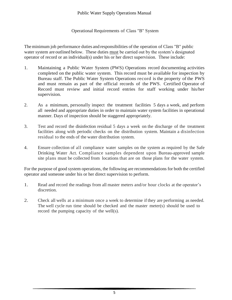Operational Requirements of Class "B" System

The minimum job performance duties and responsibilities of the operation of Class "B" public water system are outlined below. These duties must be carried out by the system's designated operator of record or an individual(s) under his or her direct supervision. These include:

- 1. Maintaining a Public Water System (PWS) Operations record documenting activities completed on the public water system. This record must be available for inspection by Bureau staff. The Public Water System Operations record is the property of the PWS and must remain as part of the official records of the PWS. Certified Operator of Record must review and initial record entries for staff working under his/her supervision.
- 2. As a minimum, personally inspect the treatment facilities 5 days a week, and perform all needed and appropriate duties in order to maintain water system facilities in operational manner. Days of inspection should be staggered appropriately.
- 3. Test and record the disinfection residual 5 days a week on the discharge of the treatment facilities along with periodic checks on the distribution system. Maintain a disinfection residual to the ends of the water distribution system.
- 4. Ensure collection of all compliance water samples on the system as required by the Safe Drinking Water Act. Compliance samples dependent upon Bureau-approved sample site plans must be collected from locations that are on those plans for the water system.

For the purpose of good system operations, the following are recommendations for both the certified operator and someone under his or her direct supervision to perform.

- 1. Read and record the readings from all master meters and/or hour clocks at the operator's discretion.
- 2. Check all wells at a minimum once a week to determine if they are performing as needed. The well cycle run time should be checked and the master meter(s) should be used to record the pumping capacity of the well(s).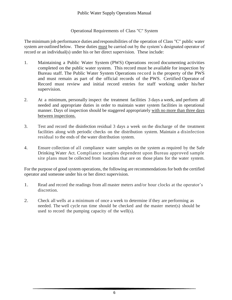#### Operational Requirements of Class "C" System

The minimum job performance duties and responsibilities of the operation of Class "C" public water system are outlined below. These duties must be carried out by the system's designated operator of record or an individual(s) under his or her direct supervision. These include:

- 1. Maintaining a Public Water System (PWS) Operations record documenting activities completed on the public water system. This record must be available for inspection by Bureau staff. The Public Water System Operations record is the property of the PWS and must remain as part of the official records of the PWS. Certified Operator of Record must review and initial record entries for staff working under his/her supervision.
- 2. At a minimum, personally inspect the treatment facilities 3 days a week, and perform all needed and appropriate duties in order to maintain water system facilities in operational manner. Days of inspection should be staggered appropriately with no more than three days between inspections.
- 3. Test and record the disinfection residual 3 days a week on the discharge of the treatment facilities along with periodic checks on the distribution system. Maintain a disinfection residual to the ends of the water distribution system.
- 4. Ensure collection of all compliance water samples on the system as required by the Safe Drinking Water Act. Compliance samples dependent upon Bureau approved sample site plans must be collected from locations that are on those plans for the water system.

For the purpose of good system operations, the following are recommendations for both the certified operator and someone under his or her direct supervision.

- 1. Read and record the readings from all master meters and/or hour clocks at the operator's discretion.
- 2. Check all wells at a minimum of once a week to determine if they are performing as needed. The well cycle run time should be checked and the master meter(s) should be used to record the pumping capacity of the well(s).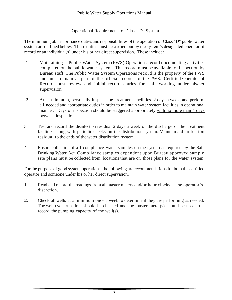#### Operational Requirements of Class "D" System

The minimum job performance duties and responsibilities of the operation of Class "D" public water system are outlined below. These duties must be carried out by the system's designated operator of record or an individual(s) under his or her direct supervision. These include:

- 1. Maintaining a Public Water System (PWS) Operations record documenting activities completed on the public water system. This record must be available for inspection by Bureau staff. The Public Water System Operations record is the property of the PWS and must remain as part of the official records of the PWS. Certified Operator of Record must review and initial record entries for staff working under his/her supervision.
- 2. At a minimum, personally inspect the treatment facilities 2 days a week, and perform all needed and appropriate duties in order to maintain water system facilities in operational manner. Days of inspection should be staggered appropriately with no more than 4 days between inspections.
- 3. Test and record the disinfection residual 2 days a week on the discharge of the treatment facilities along with periodic checks on the distribution system. Maintain a disinfection residual to the ends of the water distribution system.
- 4. Ensure collection of all compliance water samples on the system as required by the Safe Drinking Water Act. Compliance samples dependent upon Bureau approved sample site plans must be collected from locations that are on those plans for the water system.

For the purpose of good system operations, the following are recommendations for both the certified operator and someone under his or her direct supervision.

- 1. Read and record the readings from all master meters and/or hour clocks at the operator's discretion.
- 2. Check all wells at a minimum once a week to determine if they are performing as needed. The well cycle run time should be checked and the master meter(s) should be used to record the pumping capacity of the well(s).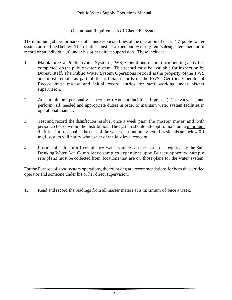#### Operational Requirements of Class "E" System

The minimum job performance duties and responsibilities of the operation of Class "E" public water system are outlined below. These duties must be carried out by the system's designated operator of record or an individual(s) under his or her direct supervision. These include:

- 1. Maintaining a Public Water System (PWS) Operations record documenting activities completed on the public water system. This record must be available for inspection by Bureau staff. The Public Water System Operations record is the property of the PWS and must remain as part of the official records of the PWS. Certified Operator of Record must review and initial record entries for staff working under his/her supervision.
- 2. At a minimum, personally inspect the treatment facilities (if present) 1 day a week, and perform all needed and appropriate duties in order to maintain water system facilities in operational manner.
- 3. Test and record the disinfection residual once a week past the master meter and with periodic checks within the distribution. The system should attempt to maintain a minimum disinfection residual at the ends of the water distribution system. If residuals are below 0.1 mg/l, system will notify wholesaler of the low level concern.
- 4. Ensure collection of all compliance water samples on the system as required by the Safe Drinking Water Act. Compliance samples dependent upon Bureau approved sample site plans must be collected from locations that are on those plans for the water system.

For the Purpose of good system operations, the following are recommendations for both the certified operator and someone under his or her direct supervision.

1. Read and record the readings from all master meters at a minimum of once a week.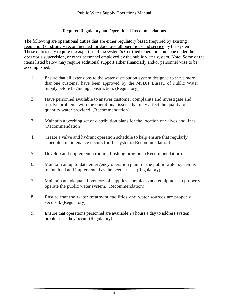#### Required Regulatory and Operational Recommendations

The following are operational duties that are either regulatory based (required by existing regulation) or strongly recommended for good overall operations and service by the system. These duties may require the expertise of the system's Certified Operator, someone under the operator's supervision, or other personnel employed by the public water system. Note: Some of the items listed below may require additional support either financially and/or personnel wise to be accomplished.

- 1. Ensure that all extensions to the water distribution system designed to serve more than one customer have been approved by the MSDH Bureau of Public Water Supply before beginning construction. (Regulatory)
- 2. Have personnel available to answer customer complaints and investigate and resolve problems with the operational issues that may affect the quality or quantity water provided. (Recommendation)
- 3. Maintain a working set of distribution plans for the location of valves and lines. (Recommendation)
- 4. Create a valve and hydrant operation schedule to help ensure that regularly scheduled maintenance occurs for the system. (Recommendation)
- 5. Develop and implement a routine flushing program. (Recommendation)
- 6. Maintain an up to date emergency operation plan for the public water system is maintained and implemented as the need arises. (Regulatory)
- 7. Maintain an adequate inventory of supplies, chemicals and equipment to properly operate the public water system. (Recommendation)
- 8. Ensure that the water treatment facilities and water sources are properly secured. (Regulatory)
- 9. Ensure that operations personnel are available 24 hours a day to address system problems as they occur. (Regulatory)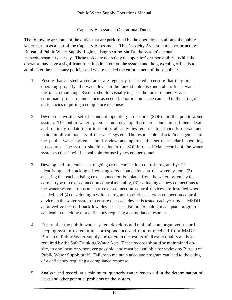### Capacity Assessment Operational Duties

The following are some of the duties that are performed by the operational staff and the public water system as a part of the Capacity Assessment. This Capacity Assessment is performed by Bureau of Public Water Supply Regional Engineering Staff at the system's annual inspection/sanitary survey. These tasks are not solely the operator's responsibility. While the operator may have a significant role, it is inherent on the system and the governing officials to administer the necessary policies and where needed the enforcement of those policies.

- 1. Ensure that all steel water tanks are regularly inspected to ensure that they are operating properly; the water level in the tank should rise and fall to keep water in the tank circulating. System should visually inspect the tank frequently and coordinate proper maintenance as needed. Poor maintenance can lead to the citing of deficiencies requiring a compliance response.
- 2. Develop a written set of standard operating procedures (SOP) for the public water system. The public water system should develop these procedures in sufficient detail and routinely update them to identify all activities required to efficiently operate and maintain all components of the water system. The responsible official/management of the public water system should review and approve this set of standard operating procedures. The system should maintain the SOP in the official records of the water system so that it will be available for use by system personnel.
- 3. Develop and implement an ongoing cross connection control program by: (1) identifying and tracking all existing cross connections on the water system, (2) ensuring that each existing cross connection isisolated from the water system by the correct type of cross connection control assembly, (3) evaluating all new connections to the water system to ensure that cross connection control devices are installed where needed, and (4) developing a written program to track each cross connection control device on the water system to ensure that each device is tested each year by an MSDH approved & licensed backflow device tester. Failure to maintain adequate program can lead to the citing of a deficiency requiring a compliance response.
- 4. Ensure that the public water system develops and maintains an organized record keeping system to retain all correspondence and reports received from MSDH Bureau of Public Water Supply and toretain the results of allwater quality analyses required by the Safe Drinking Water Acts. These records should be maintained onsite, in one locationwhenever possible, andmust be available forreview by Bureau of Public Water Supply staff. Failure to maintain adequate program can lead to the citing of a deficiency requiring a compliance response.
- 5. Analyze and record, at a minimum, quarterly water loss to aid in the determination of leaks and other potential problems on the system.